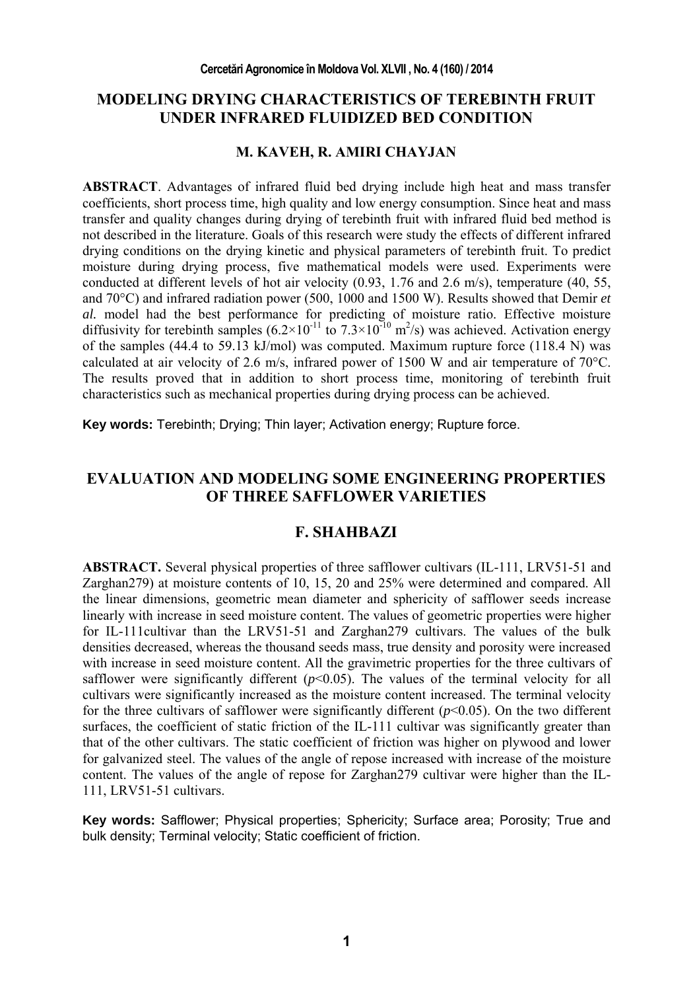## **MODELING DRYING CHARACTERISTICS OF TEREBINTH FRUIT UNDER INFRARED FLUIDIZED BED CONDITION**

### **M. KAVEH, R. AMIRI CHAYJAN**

**ABSTRACT**. Advantages of infrared fluid bed drying include high heat and mass transfer coefficients, short process time, high quality and low energy consumption. Since heat and mass transfer and quality changes during drying of terebinth fruit with infrared fluid bed method is not described in the literature. Goals of this research were study the effects of different infrared drying conditions on the drying kinetic and physical parameters of terebinth fruit. To predict moisture during drying process, five mathematical models were used. Experiments were conducted at different levels of hot air velocity (0.93, 1.76 and 2.6 m/s), temperature (40, 55, and 70°C) and infrared radiation power (500, 1000 and 1500 W). Results showed that Demir *et al.* model had the best performance for predicting of moisture ratio. Effective moisture diffusivity for terebinth samples  $(6.2 \times 10^{-11} \text{ to } 7.3 \times 10^{-10} \text{ m}^2/\text{s})$  was achieved. Activation energy of the samples  $(44.4 \text{ to } 59.13 \text{ kJ/mol})$  was computed. Maximum rupture force  $(118.4 \text{ N})$  was calculated at air velocity of 2.6 m/s, infrared power of 1500 W and air temperature of 70°C. The results proved that in addition to short process time, monitoring of terebinth fruit characteristics such as mechanical properties during drying process can be achieved.

**Key words:** Terebinth; Drying; Thin layer; Activation energy; Rupture force.

## **EVALUATION AND MODELING SOME ENGINEERING PROPERTIES OF THREE SAFFLOWER VARIETIES**

### **F. SHAHBAZI**

ABSTRACT. Several physical properties of three safflower cultivars (IL-111, LRV51-51 and Zarghan279) at moisture contents of 10, 15, 20 and 25% were determined and compared. All the linear dimensions, geometric mean diameter and sphericity of safflower seeds increase linearly with increase in seed moisture content. The values of geometric properties were higher for IL-111cultivar than the LRV51-51 and Zarghan279 cultivars. The values of the bulk densities decreased, whereas the thousand seeds mass, true density and porosity were increased with increase in seed moisture content. All the gravimetric properties for the three cultivars of safflower were significantly different  $(p<0.05)$ . The values of the terminal velocity for all cultivars were significantly increased as the moisture content increased. The terminal velocity for the three cultivars of safflower were significantly different  $(p<0.05)$ . On the two different surfaces, the coefficient of static friction of the IL-111 cultivar was significantly greater than that of the other cultivars. The static coefficient of friction was higher on plywood and lower for galvanized steel. The values of the angle of repose increased with increase of the moisture content. The values of the angle of repose for Zarghan279 cultivar were higher than the IL-111, LRV51-51 cultivars.

**Key words:** Safflower; Physical properties; Sphericity; Surface area; Porosity; True and bulk density; Terminal velocity; Static coefficient of friction.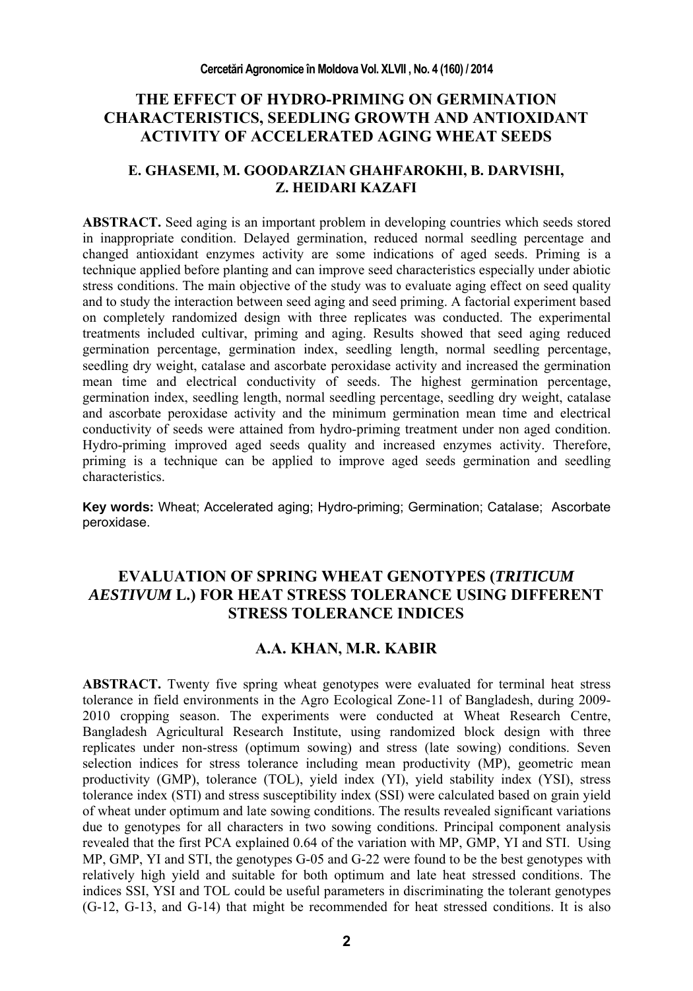# **THE EFFECT OF HYDRO-PRIMING ON GERMINATION CHARACTERISTICS, SEEDLING GROWTH AND ANTIOXIDANT ACTIVITY OF ACCELERATED AGING WHEAT SEEDS**

### **E. GHASEMI, M. GOODARZIAN GHAHFAROKHI, B. DARVISHI, Z. HEIDARI KAZAFI**

**ABSTRACT.** Seed aging is an important problem in developing countries which seeds stored in inappropriate condition. Delayed germination, reduced normal seedling percentage and changed antioxidant enzymes activity are some indications of aged seeds. Priming is a technique applied before planting and can improve seed characteristics especially under abiotic stress conditions. The main objective of the study was to evaluate aging effect on seed quality and to study the interaction between seed aging and seed priming. A factorial experiment based on completely randomized design with three replicates was conducted. The experimental treatments included cultivar, priming and aging. Results showed that seed aging reduced germination percentage, germination index, seedling length, normal seedling percentage, seedling dry weight, catalase and ascorbate peroxidase activity and increased the germination mean time and electrical conductivity of seeds. The highest germination percentage, germination index, seedling length, normal seedling percentage, seedling dry weight, catalase and ascorbate peroxidase activity and the minimum germination mean time and electrical conductivity of seeds were attained from hydro-priming treatment under non aged condition. Hydro-priming improved aged seeds quality and increased enzymes activity. Therefore, priming is a technique can be applied to improve aged seeds germination and seedling characteristics.

**Key words:** Wheat; Accelerated aging; Hydro-priming; Germination; Catalase; Ascorbate peroxidase.

# **EVALUATION OF SPRING WHEAT GENOTYPES (***TRITICUM AESTIVUM* **L.) FOR HEAT STRESS TOLERANCE USING DIFFERENT STRESS TOLERANCE INDICES**

## **A.A. KHAN, M.R. KABIR**

**ABSTRACT.** Twenty five spring wheat genotypes were evaluated for terminal heat stress tolerance in field environments in the Agro Ecological Zone-11 of Bangladesh, during 2009- 2010 cropping season. The experiments were conducted at Wheat Research Centre, Bangladesh Agricultural Research Institute, using randomized block design with three replicates under non-stress (optimum sowing) and stress (late sowing) conditions. Seven selection indices for stress tolerance including mean productivity (MP), geometric mean productivity (GMP), tolerance (TOL), yield index (YI), yield stability index (YSI), stress tolerance index (STI) and stress susceptibility index (SSI) were calculated based on grain yield of wheat under optimum and late sowing conditions. The results revealed significant variations due to genotypes for all characters in two sowing conditions. Principal component analysis revealed that the first PCA explained 0.64 of the variation with MP, GMP, YI and STI. Using MP, GMP, YI and STI, the genotypes G-05 and G-22 were found to be the best genotypes with relatively high yield and suitable for both optimum and late heat stressed conditions. The indices SSI, YSI and TOL could be useful parameters in discriminating the tolerant genotypes (G-12, G-13, and G-14) that might be recommended for heat stressed conditions. It is also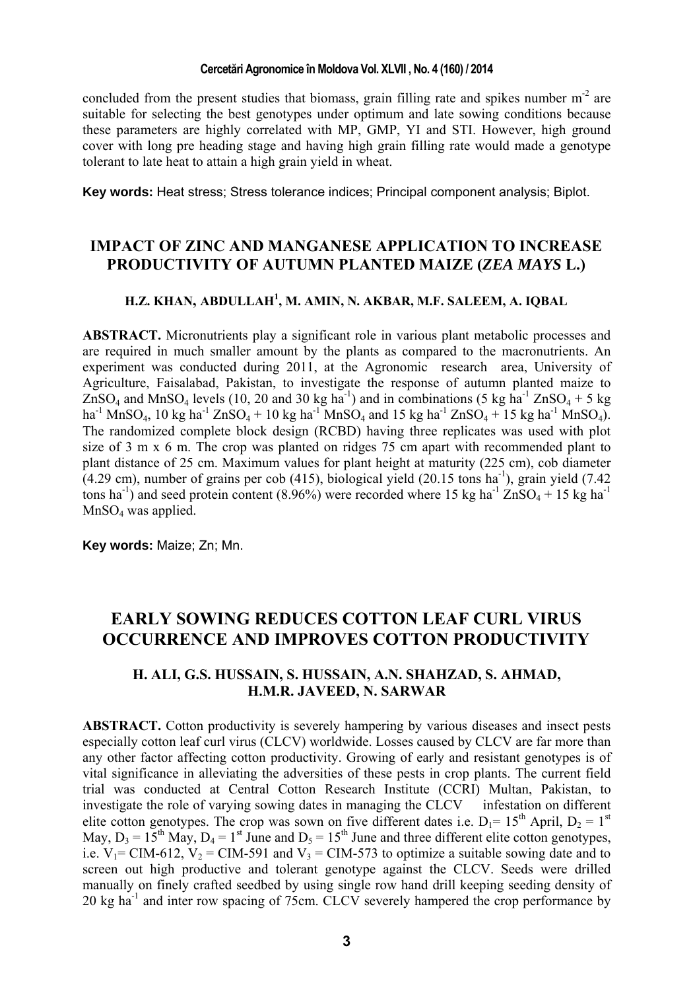concluded from the present studies that biomass, grain filling rate and spikes number  $m<sup>-2</sup>$  are suitable for selecting the best genotypes under optimum and late sowing conditions because these parameters are highly correlated with MP, GMP, YI and STI. However, high ground cover with long pre heading stage and having high grain filling rate would made a genotype tolerant to late heat to attain a high grain yield in wheat.

**Key words:** Heat stress; Stress tolerance indices; Principal component analysis; Biplot.

# **IMPACT OF ZINC AND MANGANESE APPLICATION TO INCREASE PRODUCTIVITY OF AUTUMN PLANTED MAIZE (***ZEA MAYS* **L.)**

## **H.Z. KHAN, ABDULLAH1 , M. AMIN, N. AKBAR, M.F. SALEEM, A. IQBAL**

**ABSTRACT.** Micronutrients play a significant role in various plant metabolic processes and are required in much smaller amount by the plants as compared to the macronutrients. An experiment was conducted during 2011, at the Agronomic research area, University of Agriculture, Faisalabad, Pakistan, to investigate the response of autumn planted maize to  $ZnSO_4$  and MnSO<sub>4</sub> levels (10, 20 and 30 kg ha<sup>-1</sup>) and in combinations (5 kg ha<sup>-1</sup> ZnSO<sub>4</sub> + 5 kg  $ha^{-1}$  MnSO<sub>4</sub>, 10 kg ha<sup>-1</sup> ZnSO<sub>4</sub> + 10 kg ha<sup>-1</sup> MnSO<sub>4</sub> and 15 kg ha<sup>-1</sup> ZnSO<sub>4</sub> + 15 kg ha<sup>-1</sup> MnSO<sub>4</sub>). The randomized complete block design (RCBD) having three replicates was used with plot size of 3 m x 6 m. The crop was planted on ridges 75 cm apart with recommended plant to plant distance of 25 cm. Maximum values for plant height at maturity (225 cm), cob diameter  $(4.29 \text{ cm})$ , number of grains per cob  $(415)$ , biological yield  $(20.15 \text{ tons} \text{ ha}^{-1})$ , grain yield  $(7.42 \text{ cm})$ tons ha<sup>-1</sup>) and seed protein content (8.96%) were recorded where 15 kg ha<sup>-1</sup> ZnSO<sub>4</sub> + 15 kg ha<sup>-1</sup> MnSO<sub>4</sub> was applied.

**Key words:** Maize; Zn; Mn.

# **EARLY SOWING REDUCES COTTON LEAF CURL VIRUS OCCURRENCE AND IMPROVES COTTON PRODUCTIVITY**

### **H. ALI, G.S. HUSSAIN, S. HUSSAIN, A.N. SHAHZAD, S. AHMAD, H.M.R. JAVEED, N. SARWAR**

**ABSTRACT.** Cotton productivity is severely hampering by various diseases and insect pests especially cotton leaf curl virus (CLCV) worldwide. Losses caused by CLCV are far more than any other factor affecting cotton productivity. Growing of early and resistant genotypes is of vital significance in alleviating the adversities of these pests in crop plants. The current field trial was conducted at Central Cotton Research Institute (CCRI) Multan, Pakistan, to investigate the role of varying sowing dates in managing the CLCV infestation on different elite cotton genotypes. The crop was sown on five different dates i.e.  $D_1 = 15^{th}$  April,  $D_2 = 1^{st}$ May,  $D_3 = 15^{th}$  May,  $D_4 = 1^{st}$  June and  $D_5 = 15^{th}$  June and three different elite cotton genotypes, i.e.  $V_1$  = CIM-612,  $V_2$  = CIM-591 and  $V_3$  = CIM-573 to optimize a suitable sowing date and to screen out high productive and tolerant genotype against the CLCV. Seeds were drilled manually on finely crafted seedbed by using single row hand drill keeping seeding density of 20 kg ha-1 and inter row spacing of 75cm. CLCV severely hampered the crop performance by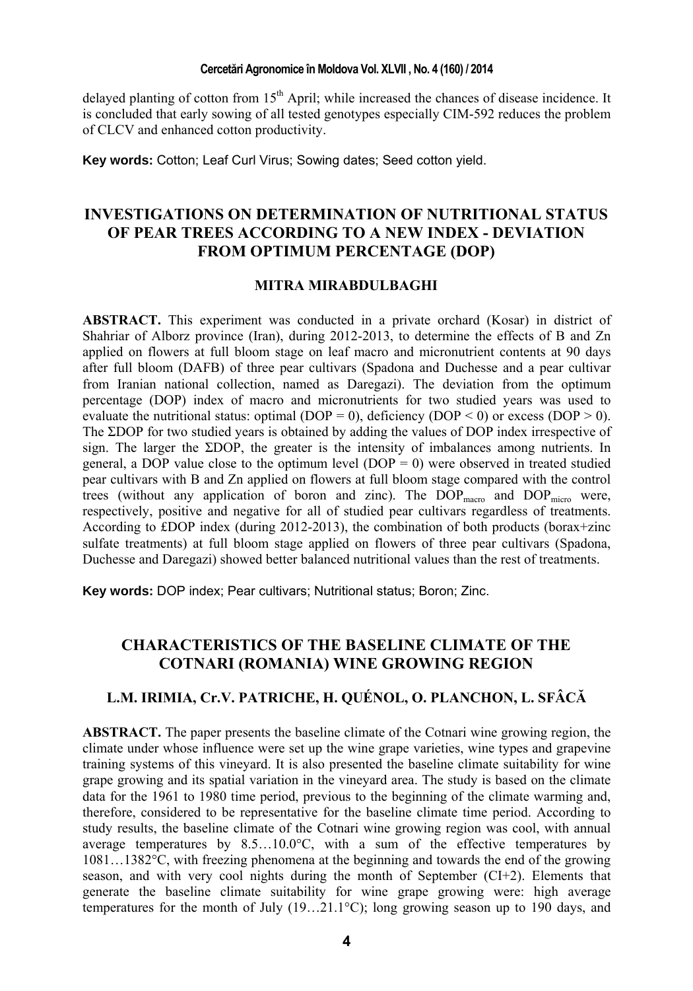delayed planting of cotton from  $15<sup>th</sup>$  April; while increased the chances of disease incidence. It is concluded that early sowing of all tested genotypes especially CIM-592 reduces the problem of CLCV and enhanced cotton productivity.

**Key words:** Cotton; Leaf Curl Virus; Sowing dates; Seed cotton yield.

# **INVESTIGATIONS ON DETERMINATION OF NUTRITIONAL STATUS OF PEAR TREES ACCORDING TO A NEW INDEX - DEVIATION FROM OPTIMUM PERCENTAGE (DOP)**

### **MITRA MIRABDULBAGHI**

**ABSTRACT.** This experiment was conducted in a private orchard (Kosar) in district of Shahriar of Alborz province (Iran), during 2012-2013, to determine the effects of B and Zn applied on flowers at full bloom stage on leaf macro and micronutrient contents at 90 days after full bloom (DAFB) of three pear cultivars (Spadona and Duchesse and a pear cultivar from Iranian national collection, named as Daregazi). The deviation from the optimum percentage (DOP) index of macro and micronutrients for two studied years was used to evaluate the nutritional status: optimal (DOP = 0), deficiency (DOP < 0) or excess (DOP > 0). The ΣDOP for two studied years is obtained by adding the values of DOP index irrespective of sign. The larger the ΣDOP, the greater is the intensity of imbalances among nutrients. In general, a DOP value close to the optimum level  $(DOP = 0)$  were observed in treated studied pear cultivars with B and Zn applied on flowers at full bloom stage compared with the control trees (without any application of boron and zinc). The DOP<sub>macro</sub> and DOP<sub>micro</sub> were, respectively, positive and negative for all of studied pear cultivars regardless of treatments. According to £DOP index (during 2012-2013), the combination of both products (borax+zinc sulfate treatments) at full bloom stage applied on flowers of three pear cultivars (Spadona, Duchesse and Daregazi) showed better balanced nutritional values than the rest of treatments.

**Key words:** DOP index; Pear cultivars; Nutritional status; Boron; Zinc.

# **CHARACTERISTICS OF THE BASELINE CLIMATE OF THE COTNARI (ROMANIA) WINE GROWING REGION**

### **L.M. IRIMIA, Cr.V. PATRICHE, H. QUÉNOL, O. PLANCHON, L. SFÂCĂ**

**ABSTRACT.** The paper presents the baseline climate of the Cotnari wine growing region, the climate under whose influence were set up the wine grape varieties, wine types and grapevine training systems of this vineyard. It is also presented the baseline climate suitability for wine grape growing and its spatial variation in the vineyard area. The study is based on the climate data for the 1961 to 1980 time period, previous to the beginning of the climate warming and, therefore, considered to be representative for the baseline climate time period. According to study results, the baseline climate of the Cotnari wine growing region was cool, with annual average temperatures by  $8.5\dots10.0\degree C$ , with a sum of the effective temperatures by 1081…1382°C, with freezing phenomena at the beginning and towards the end of the growing season, and with very cool nights during the month of September (CI+2). Elements that generate the baseline climate suitability for wine grape growing were: high average temperatures for the month of July  $(19...21.1^{\circ}C)$ ; long growing season up to 190 days, and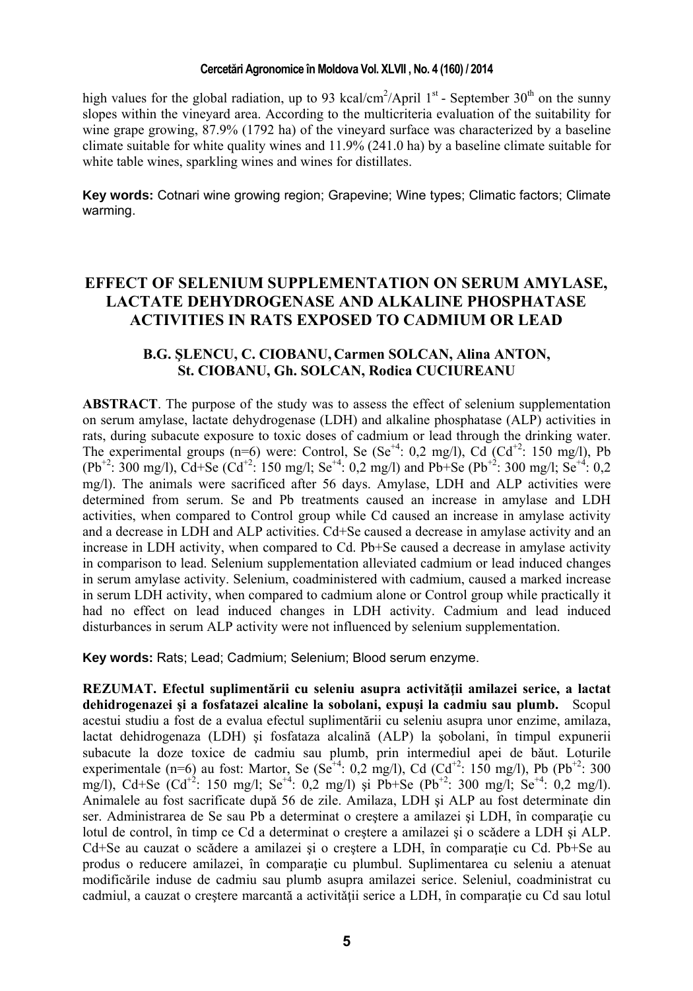high values for the global radiation, up to 93 kcal/cm<sup>2</sup>/April  $1<sup>st</sup>$  - September 30<sup>th</sup> on the sunny slopes within the vineyard area. According to the multicriteria evaluation of the suitability for wine grape growing, 87.9% (1792 ha) of the vineyard surface was characterized by a baseline climate suitable for white quality wines and 11.9% (241.0 ha) by a baseline climate suitable for white table wines, sparkling wines and wines for distillates.

**Key words:** Cotnari wine growing region; Grapevine; Wine types; Climatic factors; Climate warming.

# **EFFECT OF SELENIUM SUPPLEMENTATION ON SERUM AMYLASE, LACTATE DEHYDROGENASE AND ALKALINE PHOSPHATASE ACTIVITIES IN RATS EXPOSED TO CADMIUM OR LEAD**

### **B.G. ŞLENCU, C. CIOBANU, Carmen SOLCAN, Alina ANTON, St. CIOBANU, Gh. SOLCAN, Rodica CUCIUREANU**

**ABSTRACT**. The purpose of the study was to assess the effect of selenium supplementation on serum amylase, lactate dehydrogenase (LDH) and alkaline phosphatase (ALP) activities in rats, during subacute exposure to toxic doses of cadmium or lead through the drinking water. The experimental groups (n=6) were: Control, Se (Se<sup>+4</sup>: 0,2 mg/l), Cd (Cd<sup>+2</sup>: 150 mg/l), Pb  $(Pb^{+2}$ : 300 mg/l), Cd+Se (Cd<sup>+2</sup>: 150 mg/l; Se<sup>+4</sup>: 0,2 mg/l) and Pb+Se (Pb<sup>+2</sup>: 300 mg/l; Se<sup>+4</sup>: 0,2 mg/l). The animals were sacrificed after 56 days. Amylase, LDH and ALP activities were determined from serum. Se and Pb treatments caused an increase in amylase and LDH activities, when compared to Control group while Cd caused an increase in amylase activity and a decrease in LDH and ALP activities. Cd+Se caused a decrease in amylase activity and an increase in LDH activity, when compared to Cd. Pb+Se caused a decrease in amylase activity in comparison to lead. Selenium supplementation alleviated cadmium or lead induced changes in serum amylase activity. Selenium, coadministered with cadmium, caused a marked increase in serum LDH activity, when compared to cadmium alone or Control group while practically it had no effect on lead induced changes in LDH activity. Cadmium and lead induced disturbances in serum ALP activity were not influenced by selenium supplementation.

**Key words:** Rats; Lead; Cadmium; Selenium; Blood serum enzyme.

**REZUMAT. Efectul suplimentării cu seleniu asupra activităţii amilazei serice, a lactat dehidrogenazei şi a fosfatazei alcaline la sobolani, expuşi la cadmiu sau plumb.** Scopul acestui studiu a fost de a evalua efectul suplimentării cu seleniu asupra unor enzime, amilaza, lactat dehidrogenaza (LDH) şi fosfataza alcalină (ALP) la şobolani, în timpul expunerii subacute la doze toxice de cadmiu sau plumb, prin intermediul apei de bǎut. Loturile experimentale (n=6) au fost: Martor, Se ( $Se^{+4}$ : 0,2 mg/l), Cd (Cd<sup>+2</sup>: 150 mg/l), Pb (Pb<sup>+2</sup>: 300 mg/l), Cd+Se (Cd<sup>+2</sup>: 150 mg/l; Se<sup>+4</sup>: 0,2 mg/l) și Pb+Se (Pb<sup>+2</sup>: 300 mg/l; Se<sup>+4</sup>: 0,2 mg/l). Animalele au fost sacrificate dupǎ 56 de zile. Amilaza, LDH şi ALP au fost determinate din ser. Administrarea de Se sau Pb a determinat o crestere a amilazei și LDH, în comparatie cu lotul de control, în timp ce Cd a determinat o creştere a amilazei şi o scǎdere a LDH şi ALP. Cd+Se au cauzat o scădere a amilazei și o creștere a LDH, în comparație cu Cd. Pb+Se au produs o reducere amilazei, în comparație cu plumbul. Suplimentarea cu seleniu a atenuat modificǎrile induse de cadmiu sau plumb asupra amilazei serice. Seleniul, coadministrat cu cadmiul, a cauzat o creştere marcantă a activitǎţii serice a LDH, în comparaţie cu Cd sau lotul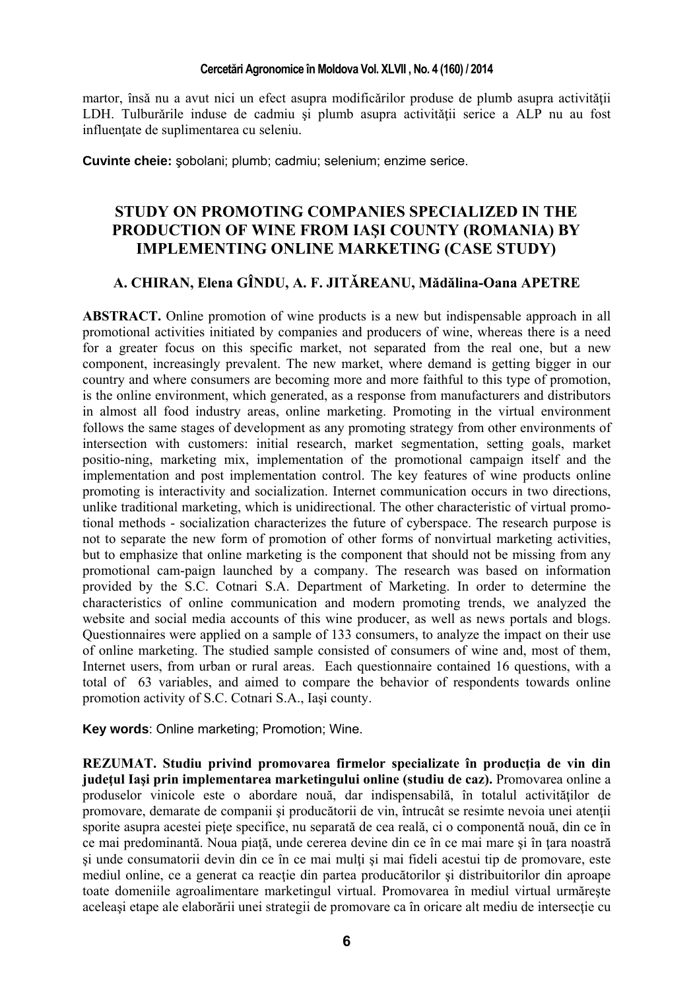martor, însă nu a avut nici un efect asupra modificărilor produse de plumb asupra activității LDH. Tulburǎrile induse de cadmiu şi plumb asupra activitǎţii serice a ALP nu au fost influenţate de suplimentarea cu seleniu.

**Cuvinte cheie:** şobolani; plumb; cadmiu; selenium; enzime serice.

## **STUDY ON PROMOTING COMPANIES SPECIALIZED IN THE PRODUCTION OF WINE FROM IAŞI COUNTY (ROMANIA) BY IMPLEMENTING ONLINE MARKETING (CASE STUDY)**

## **A. CHIRAN, Elena GÎNDU, A. F. JITǍREANU, Mădălina-Oana APETRE**

**ABSTRACT.** Online promotion of wine products is a new but indispensable approach in all promotional activities initiated by companies and producers of wine, whereas there is a need for a greater focus on this specific market, not separated from the real one, but a new component, increasingly prevalent. The new market, where demand is getting bigger in our country and where consumers are becoming more and more faithful to this type of promotion, is the online environment, which generated, as a response from manufacturers and distributors in almost all food industry areas, online marketing. Promoting in the virtual environment follows the same stages of development as any promoting strategy from other environments of intersection with customers: initial research, market segmentation, setting goals, market positio-ning, marketing mix, implementation of the promotional campaign itself and the implementation and post implementation control. The key features of wine products online promoting is interactivity and socialization. Internet communication occurs in two directions, unlike traditional marketing, which is unidirectional. The other characteristic of virtual promotional methods - socialization characterizes the future of cyberspace. The research purpose is not to separate the new form of promotion of other forms of nonvirtual marketing activities, but to emphasize that online marketing is the component that should not be missing from any promotional cam-paign launched by a company. The research was based on information provided by the S.C. Cotnari S.A. Department of Marketing. In order to determine the characteristics of online communication and modern promoting trends, we analyzed the website and social media accounts of this wine producer, as well as news portals and blogs. Questionnaires were applied on a sample of 133 consumers, to analyze the impact on their use of online marketing. The studied sample consisted of consumers of wine and, most of them, Internet users, from urban or rural areas. Each questionnaire contained 16 questions, with a total of 63 variables, and aimed to compare the behavior of respondents towards online promotion activity of S.C. Cotnari S.A., Iaşi county.

**Key words**: Online marketing; Promotion; Wine.

**REZUMAT. Studiu privind promovarea firmelor specializate în producţia de vin din judeţul Iaşi prin implementarea marketingului online (studiu de caz).** Promovarea online a produselor vinicole este o abordare nouă, dar indispensabilă, în totalul activităţilor de promovare, demarate de companii şi producătorii de vin, întrucât se resimte nevoia unei atenţii sporite asupra acestei piețe specifice, nu separată de cea reală, ci o componentă nouă, din ce în ce mai predominantă. Noua piață, unde cererea devine din ce în ce mai mare și în țara noastră şi unde consumatorii devin din ce în ce mai mulţi şi mai fideli acestui tip de promovare, este mediul online, ce a generat ca reactie din partea producătorilor și distribuitorilor din aproape toate domeniile agroalimentare marketingul virtual. Promovarea în mediul virtual urmăreşte aceleaşi etape ale elaborării unei strategii de promovare ca în oricare alt mediu de intersecţie cu